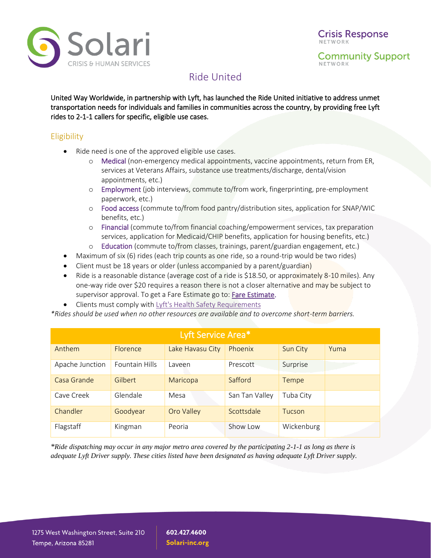

Ride United

United Way Worldwide, in partnership with Lyft, has launched the Ride United initiative to address unmet transportation needs for individuals and families in communities across the country, by providing free Lyft rides to 2-1-1 callers for specific, eligible use cases.

## **Eligibility**

- Ride need is one of the approved eligible use cases.
	- o Medical (non-emergency medical appointments, vaccine appointments, return from ER, services at Veterans Affairs, substance use treatments/discharge, dental/vision appointments, etc.)
	- o Employment (job interviews, commute to/from work, fingerprinting, pre-employment paperwork, etc.)
	- o Food access (commute to/from food pantry/distribution sites, application for SNAP/WIC benefits, etc.)
	- o Financial (commute to/from financial coaching/empowerment services, tax preparation services, application for Medicaid/CHIP benefits, application for housing benefits, etc.)
	- o Education (commute to/from classes, trainings, parent/guardian engagement, etc.)
- Maximum of six (6) rides (each trip counts as one ride, so a round-trip would be two rides)
- Client must be 18 years or older (unless accompanied by a parent/guardian)
- Ride is a reasonable distance (average cost of a ride is \$18.50, or approximately 8-10 miles). Any one-way ride over \$20 requires a reason there is not a closer alternative and may be subject to supervisor approval. To get a Fare Estimate go to: [Fare Estimate.](https://www.lyft.com/rider/fare-estimate)
- Clients must comply wit[h Lyft's Health Safety Requirements](https://help.lyft.com/hc/en-us/articles/360049333993-Lyft-s-Health-Safety-Commitment-)

*\*Rides should be used when no other resources are available and to overcome short-term barriers.*

| Lyft Service Area* |                       |                  |                |            |      |
|--------------------|-----------------------|------------------|----------------|------------|------|
| Anthem             | <b>Florence</b>       | Lake Havasu City | Phoenix        | Sun City   | Yuma |
| Apache Junction    | <b>Fountain Hills</b> | Laveen           | Prescott       | Surprise   |      |
| Casa Grande        | Gilbert               | Maricopa         | Safford        | Tempe      |      |
| Cave Creek         | Glendale              | Mesa             | San Tan Valley | Tuba City  |      |
| Chandler           | Goodyear              | Oro Valley       | Scottsdale     | Tucson     |      |
| Flagstaff          | Kingman               | Peoria           | Show Low       | Wickenburg |      |

*\*Ride dispatching may occur in any major metro area covered by the participating 2-1-1 as long as there is adequate Lyft Driver supply. These cities listed have been designated as having adequate Lyft Driver supply.*

602.427.4600 Solari-inc.org